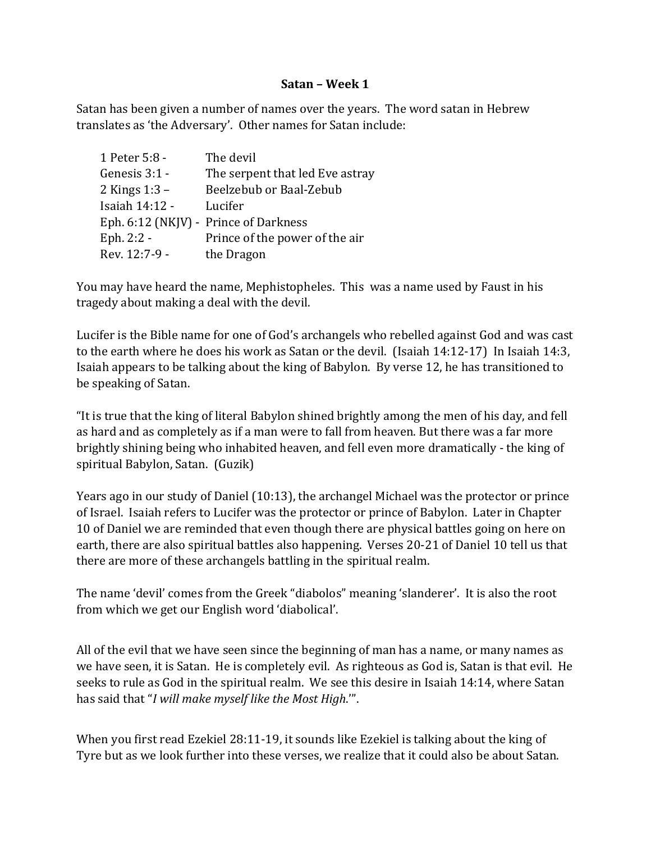## **Satan – Week 1**

Satan has been given a number of names over the years. The word satan in Hebrew translates as 'the Adversary'. Other names for Satan include:

| 1 Peter 5:8 -         | The devil                             |
|-----------------------|---------------------------------------|
| Genesis 3:1 -         | The serpent that led Eve astray       |
| 2 Kings 1:3 –         | Beelzebub or Baal-Zebub               |
| <b>Isaiah 14:12 -</b> | Lucifer                               |
|                       | Eph. 6:12 (NKJV) - Prince of Darkness |
| Eph. 2:2 -            | Prince of the power of the air        |
| Rev. 12:7-9 -         | the Dragon                            |

You may have heard the name, Mephistopheles. This was a name used by Faust in his tragedy about making a deal with the devil.

Lucifer is the Bible name for one of God's archangels who rebelled against God and was cast to the earth where he does his work as Satan or the devil. (Isaiah 14:12-17) In Isaiah 14:3, Isaiah appears to be talking about the king of Babylon. By verse 12, he has transitioned to be speaking of Satan.

"It is true that the king of literal Babylon shined brightly among the men of his day, and fell as hard and as completely as if a man were to fall from heaven. But there was a far more brightly shining being who inhabited heaven, and fell even more dramatically - the king of spiritual Babylon, Satan. (Guzik)

Years ago in our study of Daniel (10:13), the archangel Michael was the protector or prince of Israel. Isaiah refers to Lucifer was the protector or prince of Babylon. Later in Chapter 10 of Daniel we are reminded that even though there are physical battles going on here on earth, there are also spiritual battles also happening. Verses 20-21 of Daniel 10 tell us that there are more of these archangels battling in the spiritual realm.

The name 'devil' comes from the Greek "diabolos" meaning 'slanderer'. It is also the root from which we get our English word 'diabolical'.

All of the evil that we have seen since the beginning of man has a name, or many names as we have seen, it is Satan. He is completely evil. As righteous as God is, Satan is that evil. He seeks to rule as God in the spiritual realm. We see this desire in Isaiah 14:14, where Satan has said that "*I will make myself like the Most High*.'".

When you first read Ezekiel 28:11-19, it sounds like Ezekiel is talking about the king of Tyre but as we look further into these verses, we realize that it could also be about Satan.